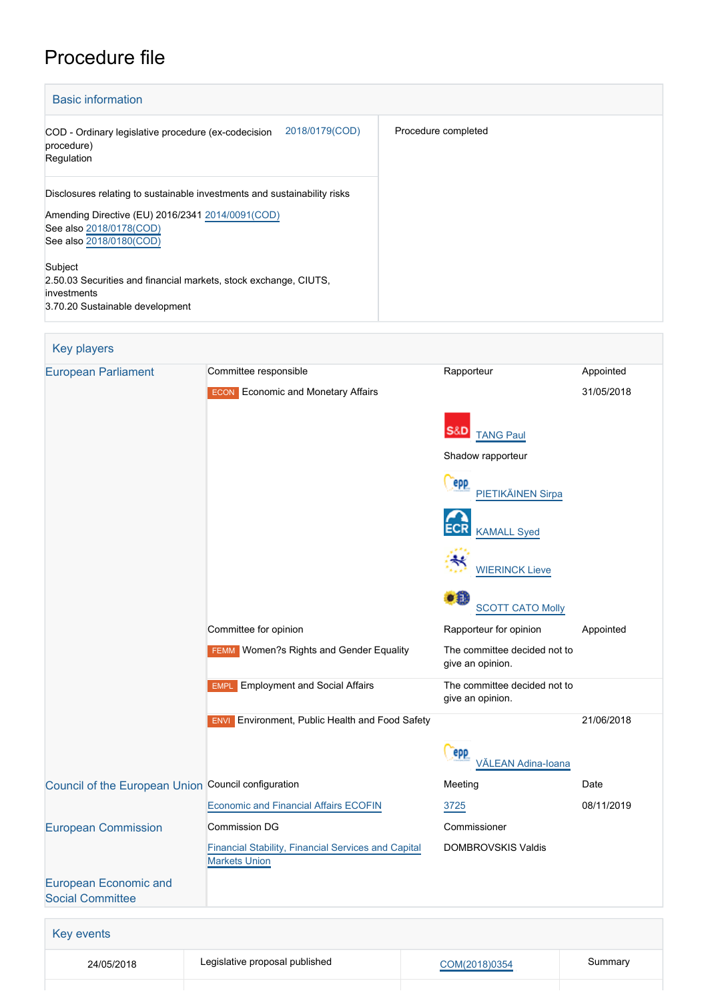# Procedure file

| <b>Basic information</b>                                                                                                                                                            |                     |
|-------------------------------------------------------------------------------------------------------------------------------------------------------------------------------------|---------------------|
| 2018/0179(COD)<br>COD - Ordinary legislative procedure (ex-codecision<br>procedure)<br>Regulation                                                                                   | Procedure completed |
| Disclosures relating to sustainable investments and sustainability risks<br>Amending Directive (EU) 2016/2341 2014/0091 (COD)<br>See also 2018/0178(COD)<br>See also 2018/0180(COD) |                     |
| Subject<br>2.50.03 Securities and financial markets, stock exchange, CIUTS,<br>investments<br>3.70.20 Sustainable development                                                       |                     |

| <b>Key players</b>                                      |                                                                                    |                                                  |            |
|---------------------------------------------------------|------------------------------------------------------------------------------------|--------------------------------------------------|------------|
| <b>European Parliament</b>                              | Committee responsible                                                              | Rapporteur                                       | Appointed  |
|                                                         | <b>ECON</b> Economic and Monetary Affairs                                          |                                                  | 31/05/2018 |
|                                                         |                                                                                    | S&D<br><b>TANG Paul</b>                          |            |
|                                                         |                                                                                    | Shadow rapporteur                                |            |
|                                                         |                                                                                    | epp<br>PIETIKÄINEN Sirpa                         |            |
|                                                         |                                                                                    | <b>KAMALL Syed</b>                               |            |
|                                                         |                                                                                    | <b>WIERINCK Lieve</b>                            |            |
|                                                         |                                                                                    | ٠Ð<br><b>SCOTT CATO Molly</b>                    |            |
|                                                         | Committee for opinion                                                              | Rapporteur for opinion                           | Appointed  |
|                                                         | <b>FEMM</b> Women?s Rights and Gender Equality                                     | The committee decided not to<br>give an opinion. |            |
|                                                         | <b>Employment and Social Affairs</b><br><b>EMPL</b>                                | The committee decided not to<br>give an opinion. |            |
|                                                         | Environment, Public Health and Food Safety<br><b>ENVI</b>                          |                                                  | 21/06/2018 |
|                                                         |                                                                                    | epp<br>VĂLEAN Adina-Ioana                        |            |
| Council of the European Union Council configuration     |                                                                                    | Meeting                                          | Date       |
|                                                         | <b>Economic and Financial Affairs ECOFIN</b>                                       | 3725                                             | 08/11/2019 |
| <b>European Commission</b>                              | <b>Commission DG</b>                                                               | Commissioner                                     |            |
|                                                         | <b>Financial Stability, Financial Services and Capital</b><br><b>Markets Union</b> | <b>DOMBROVSKIS Valdis</b>                        |            |
| <b>European Economic and</b><br><b>Social Committee</b> |                                                                                    |                                                  |            |
|                                                         |                                                                                    |                                                  |            |
| Key events                                              |                                                                                    |                                                  |            |
| 24/05/2018                                              | Legislative proposal published                                                     | COM(2018)0354                                    | Summary    |
|                                                         |                                                                                    |                                                  |            |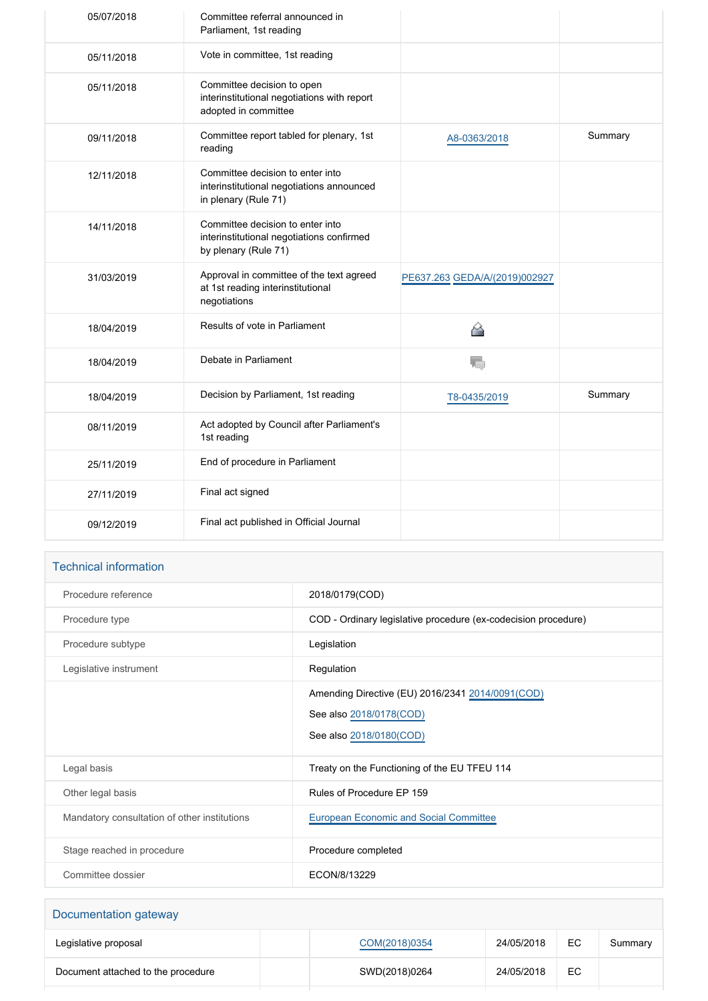| 05/07/2018 | Committee referral announced in<br>Parliament, 1st reading                                            |                               |         |
|------------|-------------------------------------------------------------------------------------------------------|-------------------------------|---------|
| 05/11/2018 | Vote in committee, 1st reading                                                                        |                               |         |
| 05/11/2018 | Committee decision to open<br>interinstitutional negotiations with report<br>adopted in committee     |                               |         |
| 09/11/2018 | Committee report tabled for plenary, 1st<br>reading                                                   | A8-0363/2018                  | Summary |
| 12/11/2018 | Committee decision to enter into<br>interinstitutional negotiations announced<br>in plenary (Rule 71) |                               |         |
| 14/11/2018 | Committee decision to enter into<br>interinstitutional negotiations confirmed<br>by plenary (Rule 71) |                               |         |
| 31/03/2019 | Approval in committee of the text agreed<br>at 1st reading interinstitutional<br>negotiations         | PE637.263 GEDA/A/(2019)002927 |         |
| 18/04/2019 | Results of vote in Parliament                                                                         | ≙                             |         |
| 18/04/2019 | Debate in Parliament                                                                                  | V.                            |         |
| 18/04/2019 | Decision by Parliament, 1st reading                                                                   | T8-0435/2019                  | Summary |
| 08/11/2019 | Act adopted by Council after Parliament's<br>1st reading                                              |                               |         |
| 25/11/2019 | End of procedure in Parliament                                                                        |                               |         |
| 27/11/2019 | Final act signed                                                                                      |                               |         |
| 09/12/2019 | Final act published in Official Journal                                                               |                               |         |

# Technical information

| Procedure reference                          | 2018/0179(COD)                                                                                          |
|----------------------------------------------|---------------------------------------------------------------------------------------------------------|
| Procedure type                               | COD - Ordinary legislative procedure (ex-codecision procedure)                                          |
| Procedure subtype                            | Legislation                                                                                             |
| Legislative instrument                       | Regulation                                                                                              |
|                                              | Amending Directive (EU) 2016/2341 2014/0091 (COD)<br>See also 2018/0178(COD)<br>See also 2018/0180(COD) |
| Legal basis                                  | Treaty on the Functioning of the EU TFEU 114                                                            |
| Other legal basis                            | Rules of Procedure FP 159                                                                               |
| Mandatory consultation of other institutions | <b>European Economic and Social Committee</b>                                                           |
| Stage reached in procedure                   | Procedure completed                                                                                     |
| Committee dossier                            | ECON/8/13229                                                                                            |

| Documentation gateway              |               |            |    |         |
|------------------------------------|---------------|------------|----|---------|
| Legislative proposal               | COM(2018)0354 | 24/05/2018 | EC | Summary |
| Document attached to the procedure | SWD(2018)0264 | 24/05/2018 | EC |         |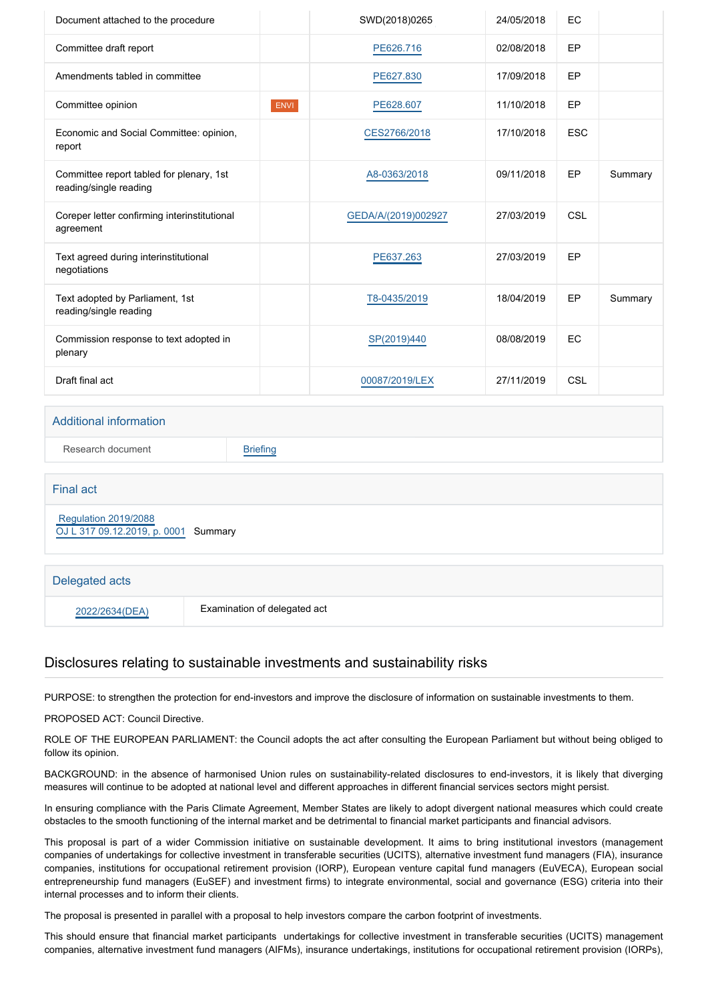| Document attached to the procedure                                 |             | SWD(2018)0265       | 24/05/2018 | EC         |         |
|--------------------------------------------------------------------|-------------|---------------------|------------|------------|---------|
| Committee draft report                                             |             | PE626.716           | 02/08/2018 | <b>EP</b>  |         |
| Amendments tabled in committee                                     |             | PE627.830           | 17/09/2018 | EP         |         |
| Committee opinion                                                  | <b>ENVI</b> | PE628.607           | 11/10/2018 | <b>EP</b>  |         |
| Economic and Social Committee: opinion,<br>report                  |             | CES2766/2018        | 17/10/2018 | <b>ESC</b> |         |
| Committee report tabled for plenary, 1st<br>reading/single reading |             | A8-0363/2018        | 09/11/2018 | EP         | Summary |
| Coreper letter confirming interinstitutional<br>agreement          |             | GEDA/A/(2019)002927 | 27/03/2019 | CSL        |         |
| Text agreed during interinstitutional<br>negotiations              |             | PE637.263           | 27/03/2019 | <b>EP</b>  |         |
| Text adopted by Parliament, 1st<br>reading/single reading          |             | T8-0435/2019        | 18/04/2019 | <b>EP</b>  | Summary |
| Commission response to text adopted in<br>plenary                  |             | SP(2019)440         | 08/08/2019 | EC         |         |
| Draft final act                                                    |             | 00087/2019/LEX      | 27/11/2019 | CSL        |         |

### Additional information

Research document [Briefing](http://www.europarl.europa.eu/thinktank/en/document.html?reference=EPRS_BRI(2019)635572)

Final act  [Regulation 2019/2088](https://eur-lex.europa.eu/smartapi/cgi/sga_doc?smartapi!celexplus!prod!CELEXnumdoc&lg=EN&numdoc=32019R2088) [OJ L 317 09.12.2019, p. 0001](https://eur-lex.europa.eu/legal-content/EN/TXT/?uri=OJ:L:2019:317:TOC) Summary Delegated acts

2022/2634(DEA) Examination of delegated act

# Disclosures relating to sustainable investments and sustainability risks

PURPOSE: to strengthen the protection for end-investors and improve the disclosure of information on sustainable investments to them.

PROPOSED ACT: Council Directive.

ROLE OF THE EUROPEAN PARLIAMENT: the Council adopts the act after consulting the European Parliament but without being obliged to follow its opinion.

BACKGROUND: in the absence of harmonised Union rules on sustainability-related disclosures to end-investors, it is likely that diverging measures will continue to be adopted at national level and different approaches in different financial services sectors might persist.

In ensuring compliance with the Paris Climate Agreement, Member States are likely to adopt divergent national measures which could create obstacles to the smooth functioning of the internal market and be detrimental to financial market participants and financial advisors.

This proposal is part of a wider Commission initiative on sustainable development. It aims to bring institutional investors (management companies of undertakings for collective investment in transferable securities (UCITS), alternative investment fund managers (FIA), insurance companies, institutions for occupational retirement provision (IORP), European venture capital fund managers (EuVECA), European social entrepreneurship fund managers (EuSEF) and investment firms) to integrate environmental, social and governance (ESG) criteria into their internal processes and to inform their clients.

The proposal is presented in parallel with a proposal to help investors compare the carbon footprint of investments.

This should ensure that financial market participants undertakings for collective investment in transferable securities (UCITS) management companies, alternative investment fund managers (AIFMs), insurance undertakings, institutions for occupational retirement provision (IORPs),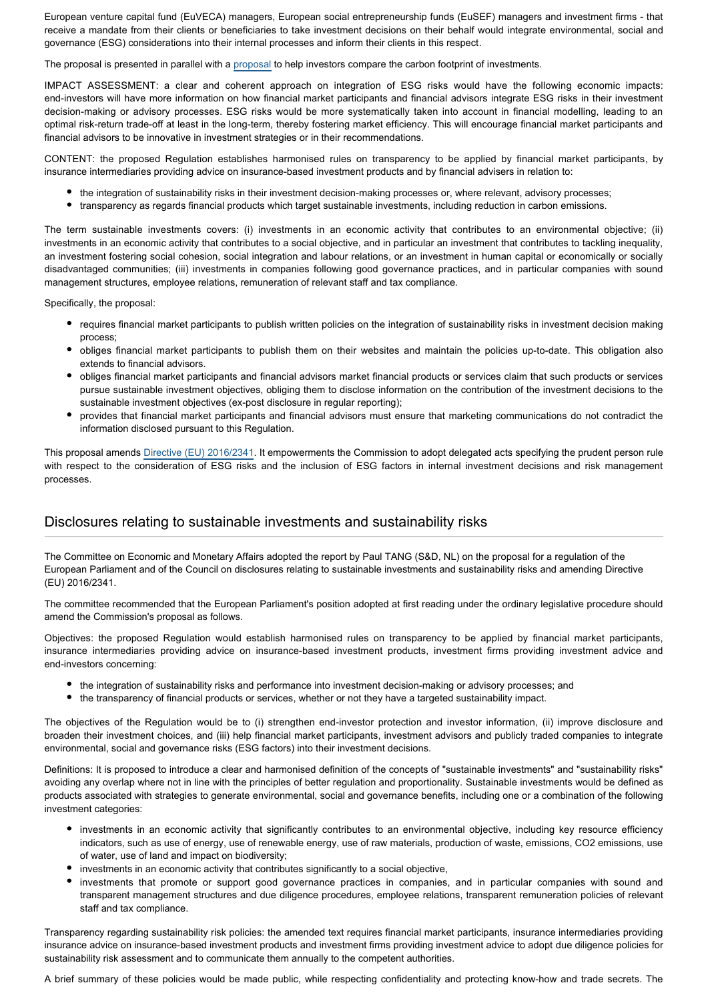European venture capital fund (EuVECA) managers, European social entrepreneurship funds (EuSEF) managers and investment firms - that receive a mandate from their clients or beneficiaries to take investment decisions on their behalf would integrate environmental, social and governance (ESG) considerations into their internal processes and inform their clients in this respect.

The proposal is presented in parallel with a [proposal](http://www.europarl.europa.eu/oeil/popups/ficheprocedure.do?reference=2018/0180(COD)&l=en) to help investors compare the carbon footprint of investments.

IMPACT ASSESSMENT: a clear and coherent approach on integration of ESG risks would have the following economic impacts: end-investors will have more information on how financial market participants and financial advisors integrate ESG risks in their investment decision-making or advisory processes. ESG risks would be more systematically taken into account in financial modelling, leading to an optimal risk-return trade-off at least in the long-term, thereby fostering market efficiency. This will encourage financial market participants and financial advisors to be innovative in investment strategies or in their recommendations.

CONTENT: the proposed Regulation establishes harmonised rules on transparency to be applied by financial market participants, by insurance intermediaries providing advice on insurance-based investment products and by financial advisers in relation to:

- the integration of sustainability risks in their investment decision-making processes or, where relevant, advisory processes;
- transparency as regards financial products which target sustainable investments, including reduction in carbon emissions.

The term sustainable investments covers: (i) investments in an economic activity that contributes to an environmental objective; (ii) investments in an economic activity that contributes to a social objective, and in particular an investment that contributes to tackling inequality, an investment fostering social cohesion, social integration and labour relations, or an investment in human capital or economically or socially disadvantaged communities; (iii) investments in companies following good governance practices, and in particular companies with sound management structures, employee relations, remuneration of relevant staff and tax compliance.

Specifically, the proposal:

- requires financial market participants to publish written policies on the integration of sustainability risks in investment decision making process;
- obliges financial market participants to publish them on their websites and maintain the policies up-to-date. This obligation also extends to financial advisors.
- obliges financial market participants and financial advisors market financial products or services claim that such products or services pursue sustainable investment objectives, obliging them to disclose information on the contribution of the investment decisions to the sustainable investment objectives (ex-post disclosure in regular reporting);
- provides that financial market participants and financial advisors must ensure that marketing communications do not contradict the information disclosed pursuant to this Regulation.

This proposal amends [Directive \(EU\) 2016/2341.](https://eur-lex.europa.eu/legal-content/EN/TXT/?qid=1530871140709&uri=CELEX:32016L2341) It empowerments the Commission to adopt delegated acts specifying the prudent person rule with respect to the consideration of ESG risks and the inclusion of ESG factors in internal investment decisions and risk management processes.

## Disclosures relating to sustainable investments and sustainability risks

The Committee on Economic and Monetary Affairs adopted the report by Paul TANG (S&D, NL) on the proposal for a regulation of the European Parliament and of the Council on disclosures relating to sustainable investments and sustainability risks and amending Directive (EU) 2016/2341.

The committee recommended that the European Parliament's position adopted at first reading under the ordinary legislative procedure should amend the Commission's proposal as follows.

Objectives: the proposed Regulation would establish harmonised rules on transparency to be applied by financial market participants, insurance intermediaries providing advice on insurance-based investment products, investment firms providing investment advice and end-investors concerning:

- the integration of sustainability risks and performance into investment decision-making or advisory processes; and
- $\bullet$ the transparency of financial products or services, whether or not they have a targeted sustainability impact.

The objectives of the Regulation would be to (i) strengthen end-investor protection and investor information, (ii) improve disclosure and broaden their investment choices, and (iii) help financial market participants, investment advisors and publicly traded companies to integrate environmental, social and governance risks (ESG factors) into their investment decisions.

Definitions: It is proposed to introduce a clear and harmonised definition of the concepts of "sustainable investments" and "sustainability risks" avoiding any overlap where not in line with the principles of better regulation and proportionality. Sustainable investments would be defined as products associated with strategies to generate environmental, social and governance benefits, including one or a combination of the following investment categories:

- investments in an economic activity that significantly contributes to an environmental objective, including key resource efficiency indicators, such as use of energy, use of renewable energy, use of raw materials, production of waste, emissions, CO2 emissions, use of water, use of land and impact on biodiversity;
- investments in an economic activity that contributes significantly to a social objective,
- investments that promote or support good governance practices in companies, and in particular companies with sound and transparent management structures and due diligence procedures, employee relations, transparent remuneration policies of relevant staff and tax compliance.

Transparency regarding sustainability risk policies: the amended text requires financial market participants, insurance intermediaries providing insurance advice on insurance-based investment products and investment firms providing investment advice to adopt due diligence policies for sustainability risk assessment and to communicate them annually to the competent authorities.

A brief summary of these policies would be made public, while respecting confidentiality and protecting know-how and trade secrets. The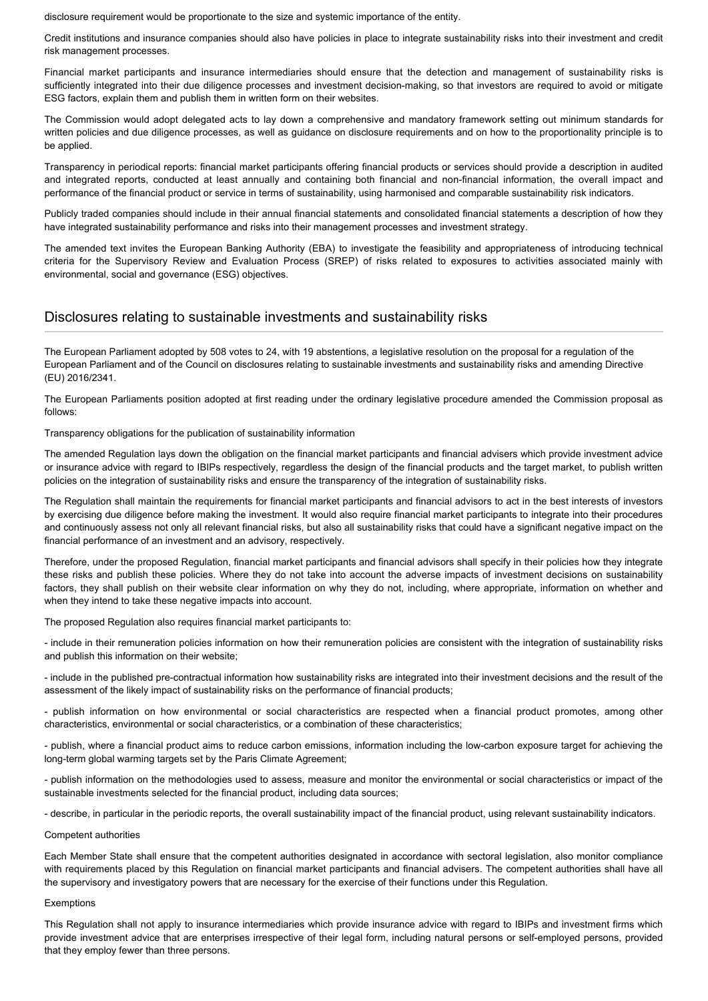disclosure requirement would be proportionate to the size and systemic importance of the entity.

Credit institutions and insurance companies should also have policies in place to integrate sustainability risks into their investment and credit risk management processes.

Financial market participants and insurance intermediaries should ensure that the detection and management of sustainability risks is sufficiently integrated into their due diligence processes and investment decision-making, so that investors are required to avoid or mitigate ESG factors, explain them and publish them in written form on their websites.

The Commission would adopt delegated acts to lay down a comprehensive and mandatory framework setting out minimum standards for written policies and due diligence processes, as well as guidance on disclosure requirements and on how to the proportionality principle is to be applied.

Transparency in periodical reports: financial market participants offering financial products or services should provide a description in audited and integrated reports, conducted at least annually and containing both financial and non-financial information, the overall impact and performance of the financial product or service in terms of sustainability, using harmonised and comparable sustainability risk indicators.

Publicly traded companies should include in their annual financial statements and consolidated financial statements a description of how they have integrated sustainability performance and risks into their management processes and investment strategy.

The amended text invites the European Banking Authority (EBA) to investigate the feasibility and appropriateness of introducing technical criteria for the Supervisory Review and Evaluation Process (SREP) of risks related to exposures to activities associated mainly with environmental, social and governance (ESG) objectives.

## Disclosures relating to sustainable investments and sustainability risks

The European Parliament adopted by 508 votes to 24, with 19 abstentions, a legislative resolution on the proposal for a regulation of the European Parliament and of the Council on disclosures relating to sustainable investments and sustainability risks and amending Directive (EU) 2016/2341.

The European Parliaments position adopted at first reading under the ordinary legislative procedure amended the Commission proposal as follows:

#### Transparency obligations for the publication of sustainability information

The amended Regulation lays down the obligation on the financial market participants and financial advisers which provide investment advice or insurance advice with regard to IBIPs respectively, regardless the design of the financial products and the target market, to publish written policies on the integration of sustainability risks and ensure the transparency of the integration of sustainability risks.

The Regulation shall maintain the requirements for financial market participants and financial advisors to act in the best interests of investors by exercising due diligence before making the investment. It would also require financial market participants to integrate into their procedures and continuously assess not only all relevant financial risks, but also all sustainability risks that could have a significant negative impact on the financial performance of an investment and an advisory, respectively.

Therefore, under the proposed Regulation, financial market participants and financial advisors shall specify in their policies how they integrate these risks and publish these policies. Where they do not take into account the adverse impacts of investment decisions on sustainability factors, they shall publish on their website clear information on why they do not, including, where appropriate, information on whether and when they intend to take these negative impacts into account.

The proposed Regulation also requires financial market participants to:

- include in their remuneration policies information on how their remuneration policies are consistent with the integration of sustainability risks and publish this information on their website;

- include in the published pre-contractual information how sustainability risks are integrated into their investment decisions and the result of the assessment of the likely impact of sustainability risks on the performance of financial products;

- publish information on how environmental or social characteristics are respected when a financial product promotes, among other characteristics, environmental or social characteristics, or a combination of these characteristics;

- publish, where a financial product aims to reduce carbon emissions, information including the low-carbon exposure target for achieving the long-term global warming targets set by the Paris Climate Agreement;

- publish information on the methodologies used to assess, measure and monitor the environmental or social characteristics or impact of the sustainable investments selected for the financial product, including data sources;

- describe, in particular in the periodic reports, the overall sustainability impact of the financial product, using relevant sustainability indicators.

#### Competent authorities

Each Member State shall ensure that the competent authorities designated in accordance with sectoral legislation, also monitor compliance with requirements placed by this Regulation on financial market participants and financial advisers. The competent authorities shall have all the supervisory and investigatory powers that are necessary for the exercise of their functions under this Regulation.

#### Exemptions

This Regulation shall not apply to insurance intermediaries which provide insurance advice with regard to IBIPs and investment firms which provide investment advice that are enterprises irrespective of their legal form, including natural persons or self-employed persons, provided that they employ fewer than three persons.